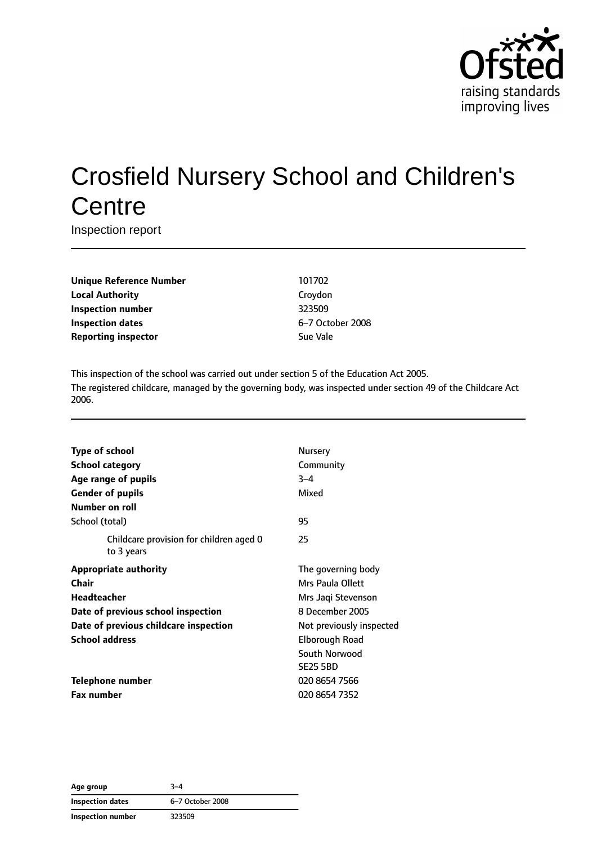

# Crosfield Nursery School and Children's **Centre**

Inspection report

**Unique Reference Number** 101702 **Local Authority** Croydon **Inspection number** 323509 **Inspection dates** 6–7 October 2008 **Reporting inspector** Sue Vale

This inspection of the school was carried out under section 5 of the Education Act 2005. The registered childcare, managed by the governing body, was inspected under section 49 of the Childcare Act 2006.

| <b>Type of school</b>                                 | Nursery                  |
|-------------------------------------------------------|--------------------------|
| <b>School category</b>                                | Community                |
| Age range of pupils                                   | $3 - 4$                  |
| <b>Gender of pupils</b>                               | Mixed                    |
| Number on roll                                        |                          |
| School (total)                                        | 95                       |
| Childcare provision for children aged 0<br>to 3 years | 25                       |
| <b>Appropriate authority</b>                          | The governing body       |
| Chair                                                 | Mrs Paula Ollett         |
| Headteacher                                           | Mrs Jaqi Stevenson       |
| Date of previous school inspection                    | 8 December 2005          |
| Date of previous childcare inspection                 | Not previously inspected |
| <b>School address</b>                                 | Elborough Road           |
|                                                       | South Norwood            |
|                                                       | <b>SE25 5BD</b>          |
| <b>Telephone number</b>                               | 020 8654 7566            |
| <b>Fax number</b>                                     | 020 8654 7352            |

**Age group** 3–4 **Inspection dates** 6–7 October 2008 **Inspection number** 323509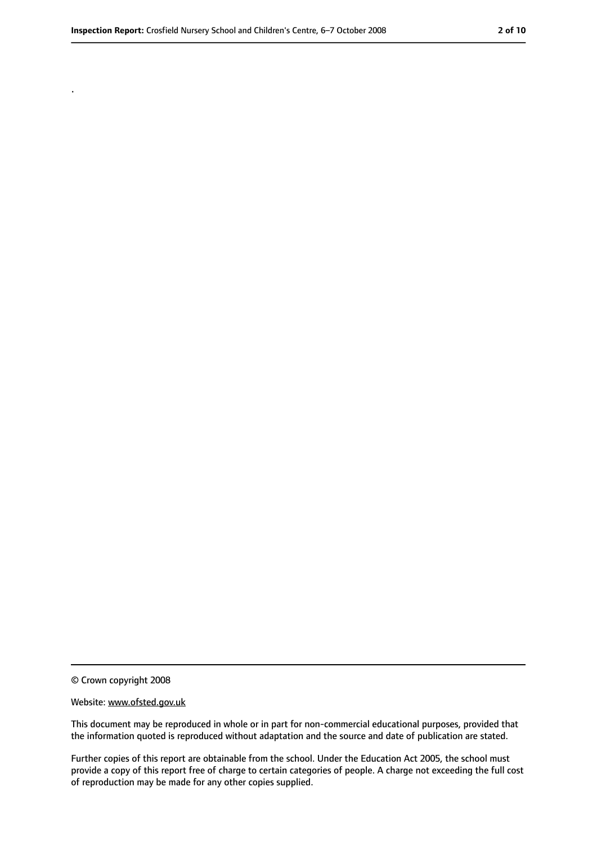.

<sup>©</sup> Crown copyright 2008

Website: www.ofsted.gov.uk

This document may be reproduced in whole or in part for non-commercial educational purposes, provided that the information quoted is reproduced without adaptation and the source and date of publication are stated.

Further copies of this report are obtainable from the school. Under the Education Act 2005, the school must provide a copy of this report free of charge to certain categories of people. A charge not exceeding the full cost of reproduction may be made for any other copies supplied.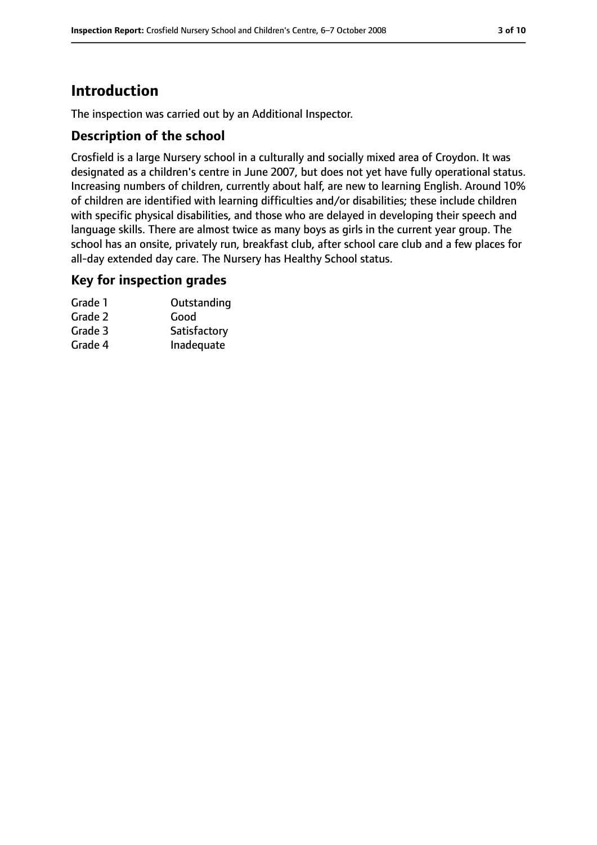# **Introduction**

The inspection was carried out by an Additional Inspector.

#### **Description of the school**

Crosfield is a large Nursery school in a culturally and socially mixed area of Croydon. It was designated as a children's centre in June 2007, but does not yet have fully operational status. Increasing numbers of children, currently about half, are new to learning English. Around 10% of children are identified with learning difficulties and/or disabilities; these include children with specific physical disabilities, and those who are delayed in developing their speech and language skills. There are almost twice as many boys as girls in the current year group. The school has an onsite, privately run, breakfast club, after school care club and a few places for all-day extended day care. The Nursery has Healthy School status.

#### **Key for inspection grades**

| Grade 1 | Outstanding  |
|---------|--------------|
| Grade 2 | Good         |
| Grade 3 | Satisfactory |
| Grade 4 | Inadequate   |
|         |              |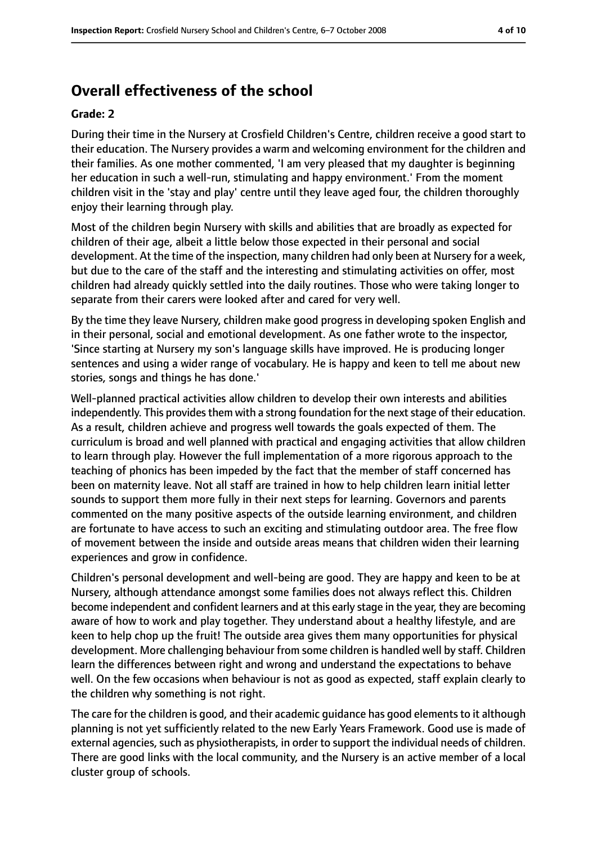## **Overall effectiveness of the school**

#### **Grade: 2**

During their time in the Nursery at Crosfield Children's Centre, children receive a good start to their education. The Nursery provides a warm and welcoming environment for the children and their families. As one mother commented, 'I am very pleased that my daughter is beginning her education in such a well-run, stimulating and happy environment.' From the moment children visit in the 'stay and play' centre until they leave aged four, the children thoroughly enjoy their learning through play.

Most of the children begin Nursery with skills and abilities that are broadly as expected for children of their age, albeit a little below those expected in their personal and social development. At the time of the inspection, many children had only been at Nursery for a week, but due to the care of the staff and the interesting and stimulating activities on offer, most children had already quickly settled into the daily routines. Those who were taking longer to separate from their carers were looked after and cared for very well.

By the time they leave Nursery, children make good progress in developing spoken English and in their personal, social and emotional development. As one father wrote to the inspector, 'Since starting at Nursery my son's language skills have improved. He is producing longer sentences and using a wider range of vocabulary. He is happy and keen to tell me about new stories, songs and things he has done.'

Well-planned practical activities allow children to develop their own interests and abilities independently. This provides them with a strong foundation for the next stage of their education. As a result, children achieve and progress well towards the goals expected of them. The curriculum is broad and well planned with practical and engaging activities that allow children to learn through play. However the full implementation of a more rigorous approach to the teaching of phonics has been impeded by the fact that the member of staff concerned has been on maternity leave. Not all staff are trained in how to help children learn initial letter sounds to support them more fully in their next steps for learning. Governors and parents commented on the many positive aspects of the outside learning environment, and children are fortunate to have access to such an exciting and stimulating outdoor area. The free flow of movement between the inside and outside areas means that children widen their learning experiences and grow in confidence.

Children's personal development and well-being are good. They are happy and keen to be at Nursery, although attendance amongst some families does not always reflect this. Children become independent and confident learners and at this early stage in the year, they are becoming aware of how to work and play together. They understand about a healthy lifestyle, and are keen to help chop up the fruit! The outside area gives them many opportunities for physical development. More challenging behaviour from some children is handled well by staff. Children learn the differences between right and wrong and understand the expectations to behave well. On the few occasions when behaviour is not as good as expected, staff explain clearly to the children why something is not right.

The care for the children is good, and their academic quidance has good elements to it although planning is not yet sufficiently related to the new Early Years Framework. Good use is made of external agencies, such as physiotherapists, in order to support the individual needs of children. There are good links with the local community, and the Nursery is an active member of a local cluster group of schools.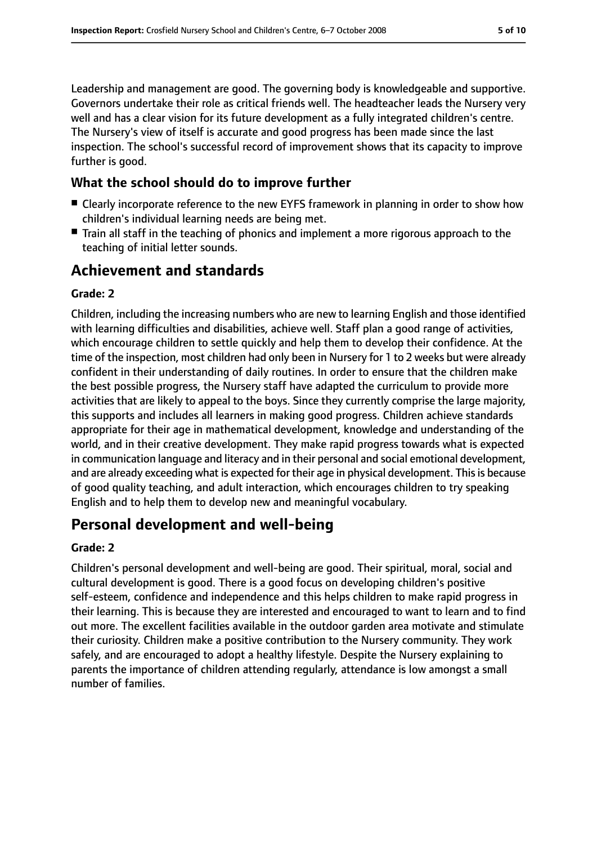Leadership and management are good. The governing body is knowledgeable and supportive. Governors undertake their role as critical friends well. The headteacher leads the Nursery very well and has a clear vision for its future development as a fully integrated children's centre. The Nursery's view of itself is accurate and good progress has been made since the last inspection. The school's successful record of improvement shows that its capacity to improve further is good.

## **What the school should do to improve further**

- Clearly incorporate reference to the new EYFS framework in planning in order to show how children's individual learning needs are being met.
- Train all staff in the teaching of phonics and implement a more rigorous approach to the teaching of initial letter sounds.

# **Achievement and standards**

#### **Grade: 2**

Children, including the increasing numbers who are new to learning English and those identified with learning difficulties and disabilities, achieve well. Staff plan a good range of activities, which encourage children to settle quickly and help them to develop their confidence. At the time of the inspection, most children had only been in Nursery for 1 to 2 weeks but were already confident in their understanding of daily routines. In order to ensure that the children make the best possible progress, the Nursery staff have adapted the curriculum to provide more activities that are likely to appeal to the boys. Since they currently comprise the large majority, this supports and includes all learners in making good progress. Children achieve standards appropriate for their age in mathematical development, knowledge and understanding of the world, and in their creative development. They make rapid progress towards what is expected in communication language and literacy and in their personal and social emotional development, and are already exceeding what is expected for their age in physical development. This is because of good quality teaching, and adult interaction, which encourages children to try speaking English and to help them to develop new and meaningful vocabulary.

## **Personal development and well-being**

#### **Grade: 2**

Children's personal development and well-being are good. Their spiritual, moral, social and cultural development is good. There is a good focus on developing children's positive self-esteem, confidence and independence and this helps children to make rapid progress in their learning. This is because they are interested and encouraged to want to learn and to find out more. The excellent facilities available in the outdoor garden area motivate and stimulate their curiosity. Children make a positive contribution to the Nursery community. They work safely, and are encouraged to adopt a healthy lifestyle. Despite the Nursery explaining to parents the importance of children attending regularly, attendance is low amongst a small number of families.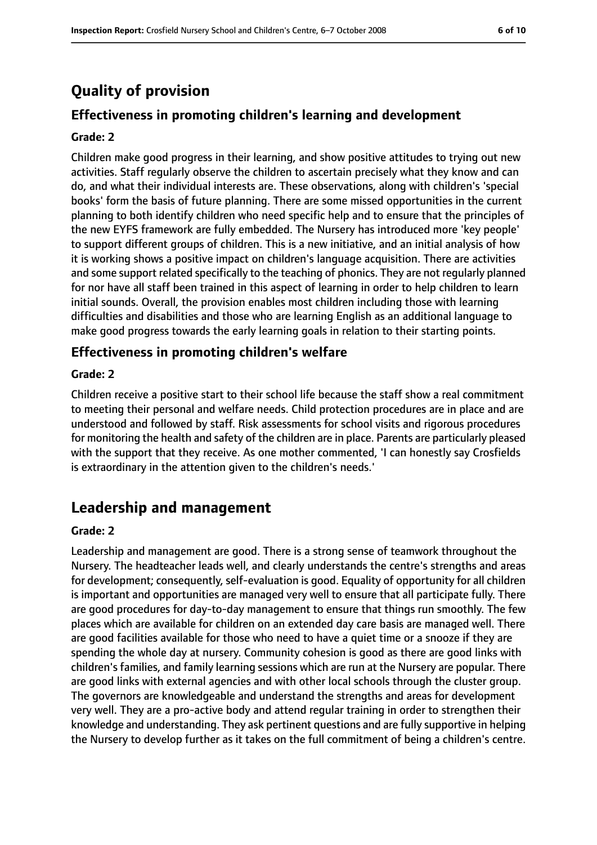# **Quality of provision**

## **Effectiveness in promoting children's learning and development**

#### **Grade: 2**

Children make good progress in their learning, and show positive attitudes to trying out new activities. Staff regularly observe the children to ascertain precisely what they know and can do, and what their individual interests are. These observations, along with children's 'special books' form the basis of future planning. There are some missed opportunities in the current planning to both identify children who need specific help and to ensure that the principles of the new EYFS framework are fully embedded. The Nursery has introduced more 'key people' to support different groups of children. This is a new initiative, and an initial analysis of how it is working shows a positive impact on children's language acquisition. There are activities and some support related specifically to the teaching of phonics. They are not regularly planned for nor have all staff been trained in this aspect of learning in order to help children to learn initial sounds. Overall, the provision enables most children including those with learning difficulties and disabilities and those who are learning English as an additional language to make good progress towards the early learning goals in relation to their starting points.

#### **Effectiveness in promoting children's welfare**

#### **Grade: 2**

Children receive a positive start to their school life because the staff show a real commitment to meeting their personal and welfare needs. Child protection procedures are in place and are understood and followed by staff. Risk assessments for school visits and rigorous procedures for monitoring the health and safety of the children are in place. Parents are particularly pleased with the support that they receive. As one mother commented, 'I can honestly say Crosfields is extraordinary in the attention given to the children's needs.'

## **Leadership and management**

#### **Grade: 2**

Leadership and management are good. There is a strong sense of teamwork throughout the Nursery. The headteacher leads well, and clearly understands the centre's strengths and areas for development; consequently, self-evaluation is good. Equality of opportunity for all children is important and opportunities are managed very well to ensure that all participate fully. There are good procedures for day-to-day management to ensure that things run smoothly. The few places which are available for children on an extended day care basis are managed well. There are good facilities available for those who need to have a quiet time or a snooze if they are spending the whole day at nursery. Community cohesion is good as there are good links with children's families, and family learning sessions which are run at the Nursery are popular. There are good links with external agencies and with other local schools through the cluster group. The governors are knowledgeable and understand the strengths and areas for development very well. They are a pro-active body and attend regular training in order to strengthen their knowledge and understanding. They ask pertinent questions and are fully supportive in helping the Nursery to develop further as it takes on the full commitment of being a children's centre.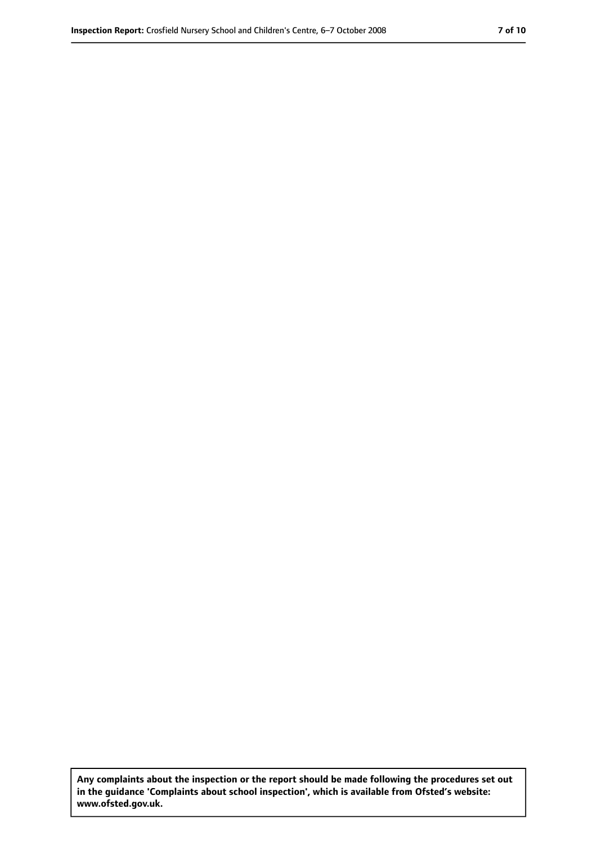**Any complaints about the inspection or the report should be made following the procedures set out in the guidance 'Complaints about school inspection', which is available from Ofsted's website: www.ofsted.gov.uk.**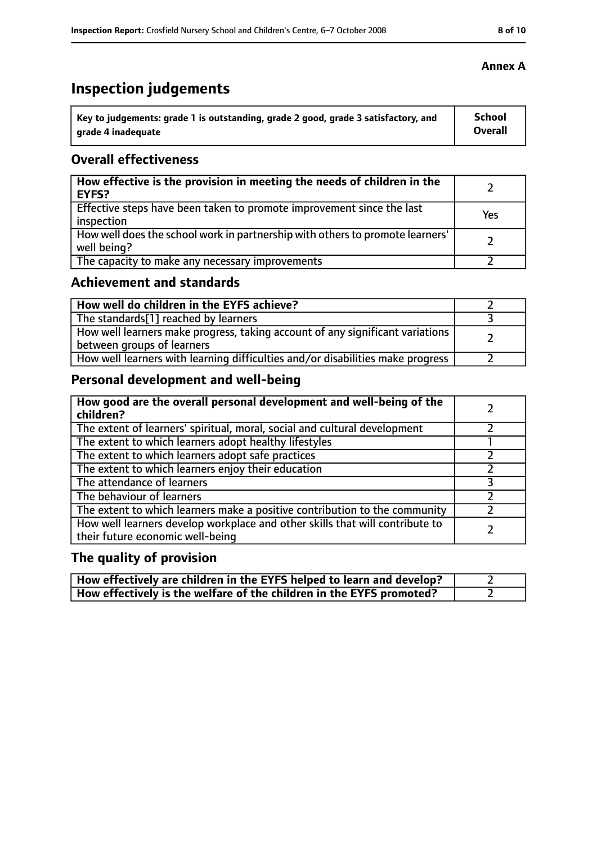# **Inspection judgements**

| Key to judgements: grade 1 is outstanding, grade 2 good, grade 3 satisfactory, and | <b>School</b>  |
|------------------------------------------------------------------------------------|----------------|
| grade 4 inadequate                                                                 | <b>Overall</b> |

#### **Overall effectiveness**

| How effective is the provision in meeting the needs of children in the<br>EYFS?              |     |
|----------------------------------------------------------------------------------------------|-----|
| Effective steps have been taken to promote improvement since the last<br>inspection          | Yes |
| How well does the school work in partnership with others to promote learners'<br>well being? |     |
| The capacity to make any necessary improvements                                              |     |

## **Achievement and standards**

| How well do children in the EYFS achieve?                                                                   |  |
|-------------------------------------------------------------------------------------------------------------|--|
| The standards[1] reached by learners                                                                        |  |
| How well learners make progress, taking account of any significant variations<br>between groups of learners |  |
| How well learners with learning difficulties and/or disabilities make progress                              |  |

## **Personal development and well-being**

| How good are the overall personal development and well-being of the<br>children?                                 |  |
|------------------------------------------------------------------------------------------------------------------|--|
| The extent of learners' spiritual, moral, social and cultural development                                        |  |
| The extent to which learners adopt healthy lifestyles                                                            |  |
| The extent to which learners adopt safe practices                                                                |  |
| The extent to which learners enjoy their education                                                               |  |
| The attendance of learners                                                                                       |  |
| The behaviour of learners                                                                                        |  |
| The extent to which learners make a positive contribution to the community                                       |  |
| How well learners develop workplace and other skills that will contribute to<br>their future economic well-being |  |

# **The quality of provision**

| How effectively are children in the EYFS helped to learn and develop? |  |
|-----------------------------------------------------------------------|--|
| How effectively is the welfare of the children in the EYFS promoted?  |  |

#### **Annex A**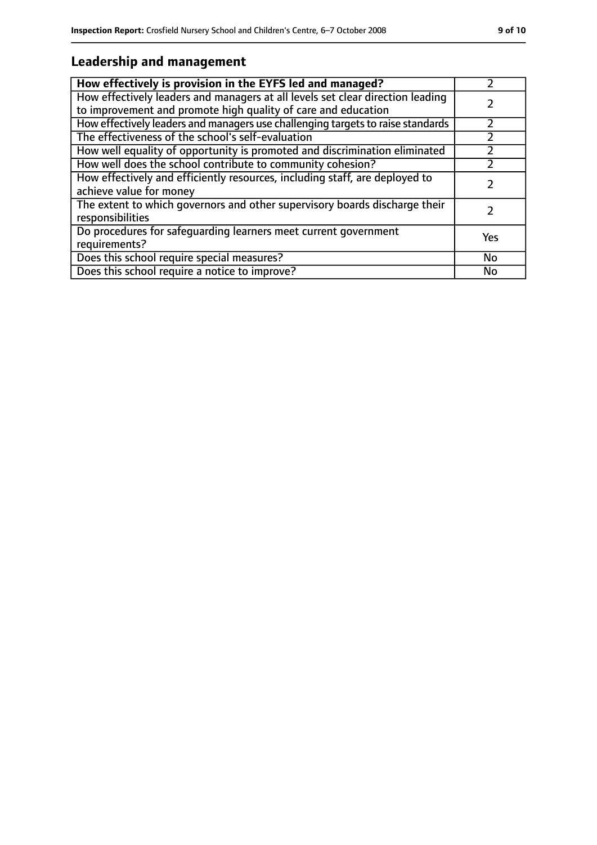## **Leadership and management**

| How effectively is provision in the EYFS led and managed?                                                                                       |     |
|-------------------------------------------------------------------------------------------------------------------------------------------------|-----|
| How effectively leaders and managers at all levels set clear direction leading<br>to improvement and promote high quality of care and education |     |
| How effectively leaders and managers use challenging targets to raise standards                                                                 |     |
| The effectiveness of the school's self-evaluation                                                                                               |     |
| How well equality of opportunity is promoted and discrimination eliminated                                                                      |     |
| How well does the school contribute to community cohesion?                                                                                      |     |
| How effectively and efficiently resources, including staff, are deployed to<br>achieve value for money                                          |     |
| The extent to which governors and other supervisory boards discharge their<br>responsibilities                                                  |     |
| Do procedures for safequarding learners meet current government<br>requirements?                                                                | Yes |
| Does this school require special measures?                                                                                                      | No  |
| Does this school require a notice to improve?                                                                                                   | No  |